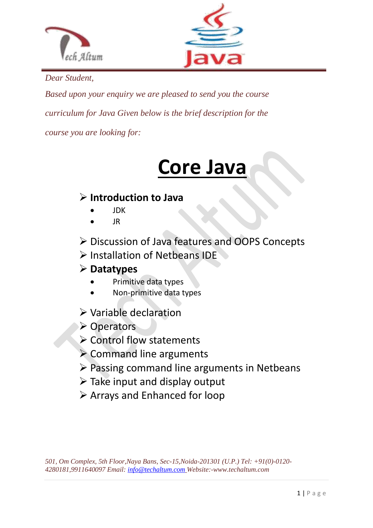



*Dear Student,*

*Based upon your enquiry we are pleased to send you the course curriculum for Java Given below is the brief description for the course you are looking for:*

# **Core Java**

## **Introduction to Java**

- JDK
- JR
- Discussion of Java features and OOPS Concepts
- $\triangleright$  Installation of Netbeans IDE

## **Datatypes**

- Primitive data types
- Non-primitive data types
- Variable declaration
- **≻ Operators**
- $\triangleright$  Control flow statements
- $\triangleright$  Command line arguments
- $\triangleright$  Passing command line arguments in Netbeans
- $\triangleright$  Take input and display output
- $\triangleright$  Arrays and Enhanced for loop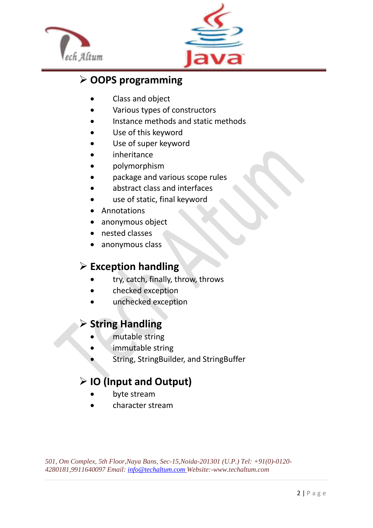



## **OOPS programming**

- Class and object
- Various types of constructors
- Instance methods and static methods
- Use of this keyword
- Use of super keyword
- inheritance
- polymorphism
- package and various scope rules
- abstract class and interfaces
- use of static, final keyword
- Annotations
- anonymous object
- nested classes
- anonymous class

#### **Exception handling**

- try, catch, finally, throw, throws
- checked exception
- unchecked exception

#### **String Handling**

- mutable string
- immutable string
- String, StringBuilder, and StringBuffer

## **IO (Input and Output)**

- byte stream
- character stream

*501, Om Complex, 5th Floor,Naya Bans, Sec-15,Noida-201301 (U.P.) Tel: +91(0)-0120- 4280181,9911640097 Email[: info@techaltum.com](mailto:info@techaltum.com) Website:-www.techaltum.com*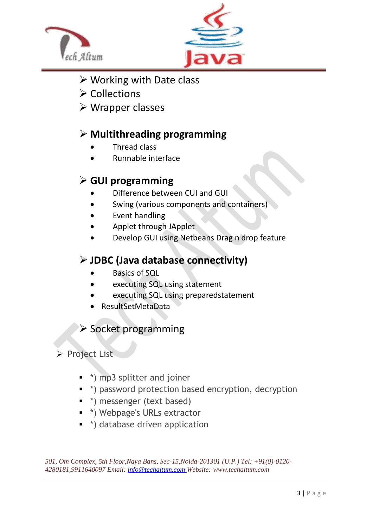



- Working with Date class
- $\triangleright$  Collections
- Wrapper classes

## **Multithreading programming**

- Thread class
- Runnable interface

## **GUI programming**

- Difference between CUI and GUI
- Swing (various components and containers)
- Event handling
- Applet through JApplet
- Develop GUI using Netbeans Drag n drop feature

#### **JDBC (Java database connectivity)**

- Basics of SQL
- executing SQL using statement
- executing SQL using preparedstatement
- ResultSetMetaData

## Socket programming

#### Project List

- \*) mp3 splitter and joiner
- \* \*) password protection based encryption, decryption
- \*) messenger (text based)
- \*) Webpage's URLs extractor
- \*) database driven application

*501, Om Complex, 5th Floor,Naya Bans, Sec-15,Noida-201301 (U.P.) Tel: +91(0)-0120- 4280181,9911640097 Email[: info@techaltum.com](mailto:info@techaltum.com) Website:-www.techaltum.com*